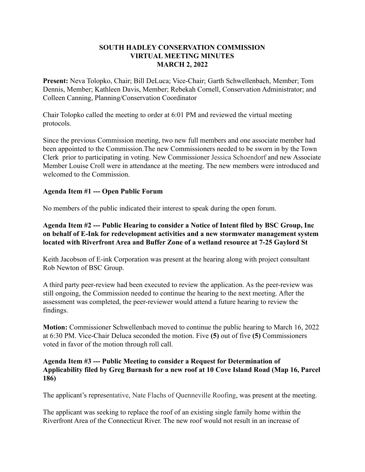## **SOUTH HADLEY CONSERVATION COMMISSION VIRTUAL MEETING MINUTES MARCH 2, 2022**

**Present:** Neva Tolopko, Chair; Bill DeLuca; Vice-Chair; Garth Schwellenbach, Member; Tom Dennis, Member; Kathleen Davis, Member; Rebekah Cornell, Conservation Administrator; and Colleen Canning, Planning/Conservation Coordinator

Chair Tolopko called the meeting to order at 6:01 PM and reviewed the virtual meeting protocols.

Since the previous Commission meeting, two new full members and one associate member had been appointed to the Commission.The new Commissioners needed to be sworn in by the Town Clerk prior to participating in voting. New Commissioner Jessica Schoendorf and new Associate Member Louise Croll were in attendance at the meeting. The new members were introduced and welcomed to the Commission.

## **Agenda Item #1 --- Open Public Forum**

No members of the public indicated their interest to speak during the open forum.

**Agenda Item #2 --- Public Hearing to consider a Notice of Intent filed by BSC Group, Inc on behalf of E-Ink for redevelopment activities and a new stormwater management system located with Riverfront Area and Buffer Zone of a wetland resource at 7-25 Gaylord St**

Keith Jacobson of E-ink Corporation was present at the hearing along with project consultant Rob Newton of BSC Group.

A third party peer-review had been executed to review the application. As the peer-review was still ongoing, the Commission needed to continue the hearing to the next meeting. After the assessment was completed, the peer-reviewer would attend a future hearing to review the findings.

**Motion:** Commissioner Schwellenbach moved to continue the public hearing to March 16, 2022 at 6:30 PM. Vice-Chair Deluca seconded the motion. Five **(5)** out of five **(5)** Commissioners voted in favor of the motion through roll call.

## **Agenda Item #3 --- Public Meeting to consider a Request for Determination of Applicability filed by Greg Burnash for a new roof at 10 Cove Island Road (Map 16, Parcel 186)**

The applicant's representative, Nate Flachs of Quenneville Roofing, was present at the meeting.

The applicant was seeking to replace the roof of an existing single family home within the Riverfront Area of the Connecticut River. The new roof would not result in an increase of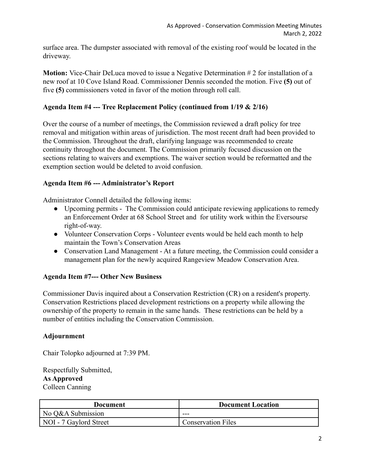surface area. The dumpster associated with removal of the existing roof would be located in the driveway.

**Motion:** Vice-Chair DeLuca moved to issue a Negative Determination # 2 for installation of a new roof at 10 Cove Island Road. Commissioner Dennis seconded the motion. Five **(5)** out of five **(5)** commissioners voted in favor of the motion through roll call.

## **Agenda Item #4 --- Tree Replacement Policy (continued from 1/19 & 2/16)**

Over the course of a number of meetings, the Commission reviewed a draft policy for tree removal and mitigation within areas of jurisdiction. The most recent draft had been provided to the Commission. Throughout the draft, clarifying language was recommended to create continuity throughout the document. The Commission primarily focused discussion on the sections relating to waivers and exemptions. The waiver section would be reformatted and the exemption section would be deleted to avoid confusion.

## **Agenda Item #6 --- Administrator's Report**

Administrator Connell detailed the following items:

- Upcoming permits The Commission could anticipate reviewing applications to remedy an Enforcement Order at 68 School Street and for utility work within the Eversourse right-of-way.
- Volunteer Conservation Corps Volunteer events would be held each month to help maintain the Town's Conservation Areas
- Conservation Land Management At a future meeting, the Commission could consider a management plan for the newly acquired Rangeview Meadow Conservation Area.

# **Agenda Item #7--- Other New Business**

Commissioner Davis inquired about a Conservation Restriction (CR) on a resident's property. Conservation Restrictions placed development restrictions on a property while allowing the ownership of the property to remain in the same hands. These restrictions can be held by a number of entities including the Conservation Commission.

# **Adjournment**

Chair Tolopko adjourned at 7:39 PM.

Respectfully Submitted, **As Approved** Colleen Canning

| Document               | <b>Document Location</b>  |
|------------------------|---------------------------|
| No Q&A Submission      | ---                       |
| NOI - 7 Gaylord Street | <b>Conservation Files</b> |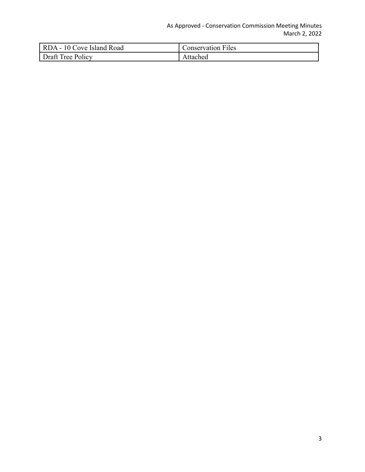## As Approved - Conservation Commission Meeting Minutes March 2, 2022

| RDA - 10 Cove Island Road | <b>Conservation Files</b> |
|---------------------------|---------------------------|
| Draft Tree Policy         | Attached                  |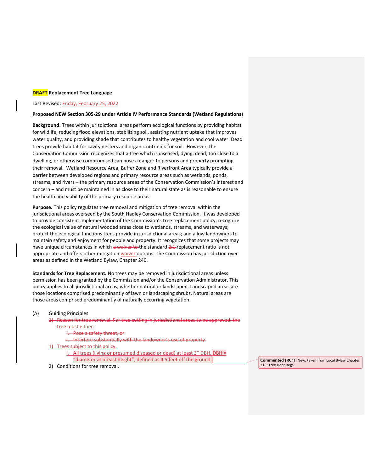#### **DRAFT Replacement Tree Language**

#### Last Revised: Friday, February 25, 2022

#### **Proposed NEW Section 305-29 under Article IV Performance Standards (Wetland Regulations)**

**Background.** Trees within jurisdictional areas perform ecological functions by providing habitat for wildlife, reducing flood elevations, stabilizing soil, assisting nutrient uptake that improves water quality, and providing shade that contributes to healthy vegetation and cool water. Dead trees provide habitat for cavity nesters and organic nutrients for soil. However, the Conservation Commission recognizes that a tree which is diseased, dying, dead, too close to a dwelling, or otherwise compromised can pose a danger to persons and property prompting their removal. Wetland Resource Area, Buffer Zone and Riverfront Area typically provide a barrier between developed regions and primary resource areas such as wetlands, ponds, streams, and rivers – the primary resource areas of the Conservation Commission's interest and concern – and must be maintained in as close to their natural state as is reasonable to ensure the health and viability of the primary resource areas.

**Purpose.** This policy regulates tree removal and mitigation of tree removal within the jurisdictional areas overseen by the South Hadley Conservation Commission. It was developed to provide consistent implementation of the Commission's tree replacement policy; recognize the ecological value of natural wooded areas close to wetlands, streams, and waterways; protect the ecological functions trees provide in jurisdictional areas; and allow landowners to maintain safety and enjoyment for people and property. It recognizes that some projects may have unique circumstances in which a waiver to the standard 2:1 replacement ratio is not appropriate and offers other mitigation waiver options. The Commission has jurisdiction over areas as defined in the Wetland Bylaw, Chapter 240.

**Standards for Tree Replacement.** No trees may be removed in jurisdictional areas unless permission has been granted by the Commission and/or the Conservation Administrator. This policy applies to all jurisdictional areas, whether natural or landscaped. Landscaped areas are those locations comprised predominantly of lawn or landscaping shrubs. Natural areas are those areas comprised predominantly of naturally occurring vegetation.

### (A) Guiding Principles

1) Reason for tree removal. For tree cutting in jurisdictional areas to be approved, the tree must either:

- i. Pose a safety threat, or
- ii. Interfere substantially with the landowner's use of property.
- 1) Trees subject to this policy.
	- i. All trees (living or presumed diseased or dead) at least 3" DBH. DBH = "diameter at breast height", defined as 4.5 feet off the ground.
- 2) Conditions for tree removal.

**Commented [RC1]:** New, taken from Local Bylaw Chapter 315: Tree Dept Regs.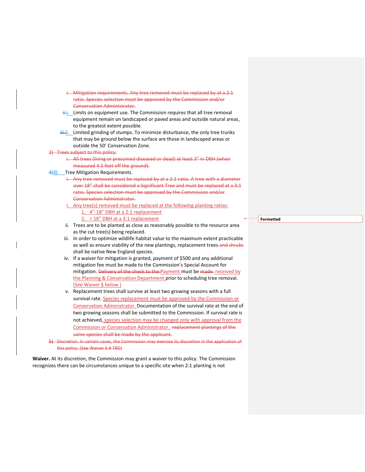- -Mitigation requirements. Any tree removed must be replaced by at a 2:1 ratio. Species selection must be approved by the Commission and/or Conservation Administrator.
- $\frac{1}{11}$ . Limits on equipment use. The Commission requires that all tree removal equipment remain on landscaped or paved areas and outside natural areas, to the greatest extent possible.
- $\frac{1}{2}$ ii. Limited grinding of stumps. To minimize disturbance, the only tree trunks that may be ground below the surface are those in landscaped areas or outside the 50' Conservation Zone.
- 3) Trees subject to this policy.
	- i. All trees (living or presumed diseased or dead) at least 3" in DBH (when measured 4.5 feet off the ground).
- 4<sup>4</sup>3) Tree Mitigation Requirements.
	- i. Any tree removed must be replaced by at a 2:1 ratio. A tree with a diameter over 18" shall be considered a Significant Tree and must be replaced at a 3:1 ratio. Species selection must be approved by the Commission and/or Conservation Administrator.
	- Any tree(s) removed must be replaced at the following planting ratios: 1. 4"-18" DBH at a 2:1 replacement
		- 2. > 18" DBH at a 3:1 replacement
	- ii. Trees are to be planted as close as reasonably possible to the resource area as the cut tree(s) being replaced.
	- iii. In order to optimize wildlife habitat value to the maximum extent practicable as well as ensure viability of the new plantings, replacement trees-and shrubs shall be native New England species.
	- iv. If a waiver for mitigation is granted, payment of \$500 and any additional mitigation fee must be made to the Commission's Special Account for mitigation. Delivery of the check to the Payment must be made received by the Planning & Conservation Department prior to scheduling tree removal. (See Waiver § below )
	- v. Replacement trees shall survive at least two growing seasons with a full survival rate. Species replacement must be approved by the Commission or Conservation Administrator. Documentation of the survival rate at the end of two growing seasons shall be submitted to the Commission. If survival rate is not achieved, species selection may be changed only with approval from the Commission or Conservation Administrator. Feplacement plantings of the same species shall be made by the applicant.
- 5) Discretion. In certain cases, the Commission may exercise its discretion in the application of this policy. (See Waiver § # TBD)

**Waiver.** At its discretion, the Commission may grant a waiver to this policy. The Commission recognizes there can be circumstances unique to a specific site when 2:1 planting is not

**Formatted**